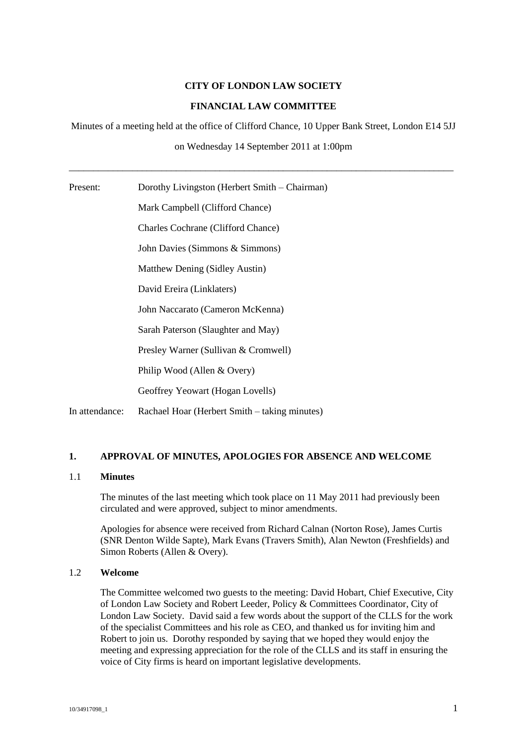#### **CITY OF LONDON LAW SOCIETY**

### **FINANCIAL LAW COMMITTEE**

Minutes of a meeting held at the office of Clifford Chance, 10 Upper Bank Street, London E14 5JJ

on Wednesday 14 September 2011 at 1:00pm

\_\_\_\_\_\_\_\_\_\_\_\_\_\_\_\_\_\_\_\_\_\_\_\_\_\_\_\_\_\_\_\_\_\_\_\_\_\_\_\_\_\_\_\_\_\_\_\_\_\_\_\_\_\_\_\_\_\_\_\_\_\_\_\_\_\_\_\_\_\_\_\_\_\_\_\_\_\_\_

| Present:       | Dorothy Livingston (Herbert Smith – Chairman) |
|----------------|-----------------------------------------------|
|                | Mark Campbell (Clifford Chance)               |
|                | <b>Charles Cochrane (Clifford Chance)</b>     |
|                | John Davies (Simmons & Simmons)               |
|                | Matthew Dening (Sidley Austin)                |
|                | David Ereira (Linklaters)                     |
|                | John Naccarato (Cameron McKenna)              |
|                | Sarah Paterson (Slaughter and May)            |
|                | Presley Warner (Sullivan & Cromwell)          |
|                | Philip Wood (Allen & Overy)                   |
|                | Geoffrey Yeowart (Hogan Lovells)              |
| In attendance: | Rachael Hoar (Herbert Smith – taking minutes) |

### **1. APPROVAL OF MINUTES, APOLOGIES FOR ABSENCE AND WELCOME**

#### 1.1 **Minutes**

The minutes of the last meeting which took place on 11 May 2011 had previously been circulated and were approved, subject to minor amendments.

Apologies for absence were received from Richard Calnan (Norton Rose), James Curtis (SNR Denton Wilde Sapte), Mark Evans (Travers Smith), Alan Newton (Freshfields) and Simon Roberts (Allen & Overy).

### 1.2 **Welcome**

The Committee welcomed two guests to the meeting: David Hobart, Chief Executive, City of London Law Society and Robert Leeder, Policy & Committees Coordinator, City of London Law Society. David said a few words about the support of the CLLS for the work of the specialist Committees and his role as CEO, and thanked us for inviting him and Robert to join us. Dorothy responded by saying that we hoped they would enjoy the meeting and expressing appreciation for the role of the CLLS and its staff in ensuring the voice of City firms is heard on important legislative developments.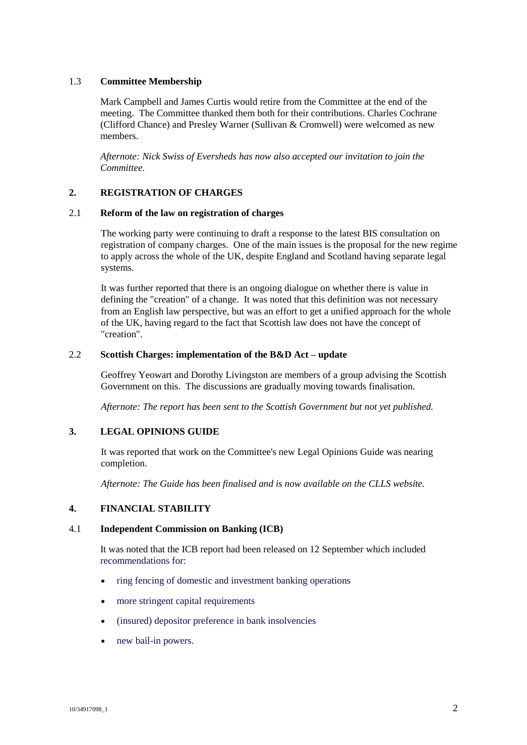### 1.3 **Committee Membership**

Mark Campbell and James Curtis would retire from the Committee at the end of the meeting. The Committee thanked them both for their contributions. Charles Cochrane (Clifford Chance) and Presley Warner (Sullivan & Cromwell) were welcomed as new members.

*Afternote: Nick Swiss of Eversheds has now also accepted our invitation to join the Committee.* 

# **2. REGISTRATION OF CHARGES**

#### 2.1 **Reform of the law on registration of charges**

The working party were continuing to draft a response to the latest BIS consultation on registration of company charges. One of the main issues is the proposal for the new regime to apply across the whole of the UK, despite England and Scotland having separate legal systems.

It was further reported that there is an ongoing dialogue on whether there is value in defining the "creation" of a change. It was noted that this definition was not necessary from an English law perspective, but was an effort to get a unified approach for the whole of the UK, having regard to the fact that Scottish law does not have the concept of "creation".

### 2.2 **Scottish Charges: implementation of the B&D Act – update**

Geoffrey Yeowart and Dorothy Livingston are members of a group advising the Scottish Government on this. The discussions are gradually moving towards finalisation.

*Afternote: The report has been sent to the Scottish Government but not yet published.*

# **3. LEGAL OPINIONS GUIDE**

It was reported that work on the Committee's new Legal Opinions Guide was nearing completion.

*Afternote: The Guide has been finalised and is now available on the CLLS website.*

### **4. FINANCIAL STABILITY**

### 4.1 **Independent Commission on Banking (ICB)**

It was noted that the ICB report had been released on 12 September which included recommendations for:

- ring fencing of domestic and investment banking operations
- more stringent capital requirements
- (insured) depositor preference in bank insolvencies
- new bail-in powers.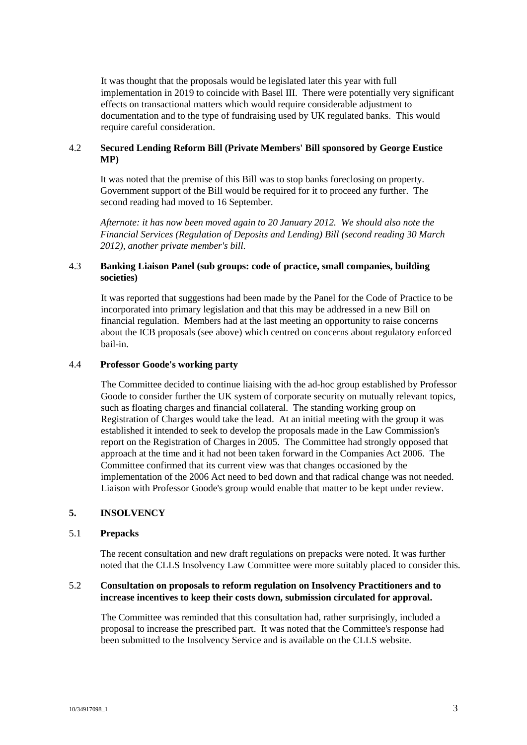It was thought that the proposals would be legislated later this year with full implementation in 2019 to coincide with Basel III. There were potentially very significant effects on transactional matters which would require considerable adjustment to documentation and to the type of fundraising used by UK regulated banks. This would require careful consideration.

# 4.2 **Secured Lending Reform Bill (Private Members' Bill sponsored by George Eustice MP)**

It was noted that the premise of this Bill was to stop banks foreclosing on property. Government support of the Bill would be required for it to proceed any further. The second reading had moved to 16 September.

*Afternote: it has now been moved again to 20 January 2012. We should also note the Financial Services (Regulation of Deposits and Lending) Bill (second reading 30 March 2012), another private member's bill.*

# 4.3 **Banking Liaison Panel (sub groups: code of practice, small companies, building societies)**

It was reported that suggestions had been made by the Panel for the Code of Practice to be incorporated into primary legislation and that this may be addressed in a new Bill on financial regulation. Members had at the last meeting an opportunity to raise concerns about the ICB proposals (see above) which centred on concerns about regulatory enforced bail-in.

# 4.4 **Professor Goode's working party**

The Committee decided to continue liaising with the ad-hoc group established by Professor Goode to consider further the UK system of corporate security on mutually relevant topics, such as floating charges and financial collateral. The standing working group on Registration of Charges would take the lead. At an initial meeting with the group it was established it intended to seek to develop the proposals made in the Law Commission's report on the Registration of Charges in 2005. The Committee had strongly opposed that approach at the time and it had not been taken forward in the Companies Act 2006. The Committee confirmed that its current view was that changes occasioned by the implementation of the 2006 Act need to bed down and that radical change was not needed. Liaison with Professor Goode's group would enable that matter to be kept under review.

### **5. INSOLVENCY**

### 5.1 **Prepacks**

The recent consultation and new draft regulations on prepacks were noted. It was further noted that the CLLS Insolvency Law Committee were more suitably placed to consider this.

### 5.2 **Consultation on proposals to reform regulation on Insolvency Practitioners and to increase incentives to keep their costs down, submission circulated for approval.**

The Committee was reminded that this consultation had, rather surprisingly, included a proposal to increase the prescribed part. It was noted that the Committee's response had been submitted to the Insolvency Service and is available on the CLLS website.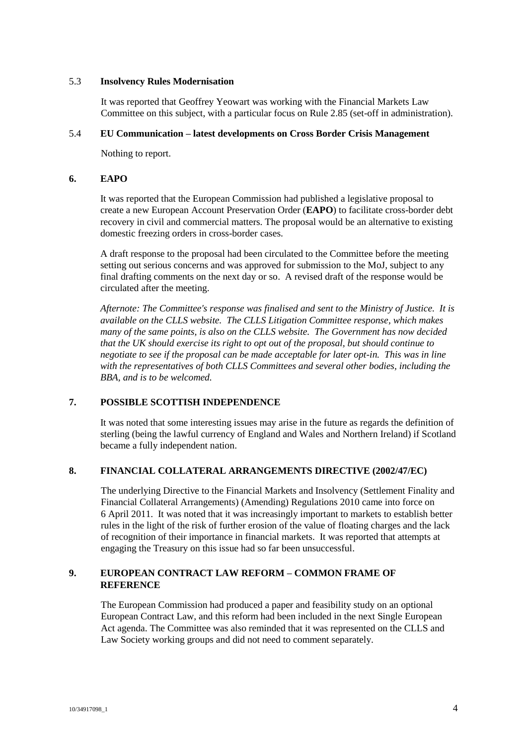### 5.3 **Insolvency Rules Modernisation**

It was reported that Geoffrey Yeowart was working with the Financial Markets Law Committee on this subject, with a particular focus on Rule 2.85 (set-off in administration).

### 5.4 **EU Communication – latest developments on Cross Border Crisis Management**

Nothing to report.

#### **6. EAPO**

It was reported that the European Commission had published a legislative proposal to create a new European Account Preservation Order (**EAPO**) to facilitate cross-border debt recovery in civil and commercial matters. The proposal would be an alternative to existing domestic freezing orders in cross-border cases.

A draft response to the proposal had been circulated to the Committee before the meeting setting out serious concerns and was approved for submission to the MoJ, subject to any final drafting comments on the next day or so. A revised draft of the response would be circulated after the meeting.

*Afternote: The Committee's response was finalised and sent to the Ministry of Justice. It is available on the CLLS website. The CLLS Litigation Committee response, which makes many of the same points, is also on the CLLS website. The Government has now decided that the UK should exercise its right to opt out of the proposal, but should continue to negotiate to see if the proposal can be made acceptable for later opt-in. This was in line with the representatives of both CLLS Committees and several other bodies, including the BBA, and is to be welcomed.*

### **7. POSSIBLE SCOTTISH INDEPENDENCE**

It was noted that some interesting issues may arise in the future as regards the definition of sterling (being the lawful currency of England and Wales and Northern Ireland) if Scotland became a fully independent nation.

### **8. FINANCIAL COLLATERAL ARRANGEMENTS DIRECTIVE (2002/47/EC)**

The underlying Directive to the Financial Markets and Insolvency (Settlement Finality and Financial Collateral Arrangements) (Amending) Regulations 2010 came into force on 6 April 2011. It was noted that it was increasingly important to markets to establish better rules in the light of the risk of further erosion of the value of floating charges and the lack of recognition of their importance in financial markets. It was reported that attempts at engaging the Treasury on this issue had so far been unsuccessful.

# **9. EUROPEAN CONTRACT LAW REFORM – COMMON FRAME OF REFERENCE**

The European Commission had produced a paper and feasibility study on an optional European Contract Law, and this reform had been included in the next Single European Act agenda. The Committee was also reminded that it was represented on the CLLS and Law Society working groups and did not need to comment separately.